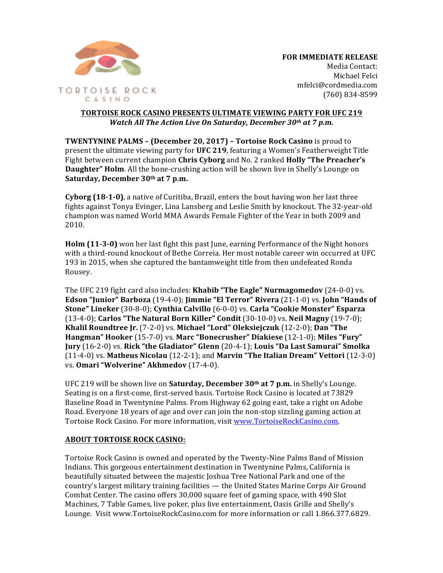

Michael Felci mfelci@cordmedia.com (760) 834-8599

## **TORTOISE ROCK CASINO PRESENTS ULTIMATE VIEWING PARTY FOR UFC 219** *Watch All The Action Live On Saturday, December 30th at 7 p.m.*

**TWENTYNINE PALMS – (December 20, 2017) – Tortoise Rock Casino is proud to** present the ultimate viewing party for **UFC 219**, featuring a Women's Featherweight Title Fight between current champion **Chris Cyborg** and No. 2 ranked **Holly "The Preacher's Daughter" Holm**. All the bone-crushing action will be shown live in Shelly's Lounge on Saturday, December 30<sup>th</sup> at 7 p.m.

**Cyborg (18-1-0)**, a native of Curitiba, Brazil, enters the bout having won her last three fights against Tonya Evinger, Lina Lansberg and Leslie Smith by knockout. The 32-year-old champion was named World MMA Awards Female Fighter of the Year in both 2009 and 2010. 

**Holm (11-3-0)** won her last fight this past June, earning Performance of the Night honors with a third-round knockout of Bethe Correia. Her most notable career win occurred at UFC 193 in 2015, when she captured the bantamweight title from then undefeated Ronda Rousey. 

The UFC 219 fight card also includes: **Khabib "The Eagle" Nurmagomedov** (24-0-0) vs. **Edson "Junior" Barboza** (19-4-0); **Jimmie "El Terror" Rivera** (21-1-0) vs. **John "Hands of Stone" Lineker** (30-8-0); **Cynthia Calvillo** (6-0-0) vs. Carla "Cookie Monster" Esparza (13-4-0); **Carlos "The Natural Born Killer" Condit** (30-10-0) vs. **Neil Magny** (19-7-0); **Khalil Roundtree Jr.** (7-2-0) vs. Michael "Lord" Oleksiejczuk (12-2-0); Dan "The **Hangman"** Hooker (15-7-0) vs. Marc "Bonecrusher" Diakiese (12-1-0); Miles "Fury" **Jury** (16-2-0) vs. Rick "the Gladiator" Glenn (20-4-1); Louis "Da Last Samurai" Smolka (11-4-0) vs. Matheus Nicolau (12-2-1); and Marvin "The Italian Dream" Vettori (12-3-0) vs. Omari "Wolverine" Akhmedov (17-4-0).

UFC 219 will be shown live on **Saturday, December 30<sup>th</sup> at 7 p.m.** in Shelly's Lounge. Seating is on a first-come, first-served basis. Tortoise Rock Casino is located at 73829 Baseline Road in Twentynine Palms. From Highway 62 going east, take a right on Adobe Road. Everyone 18 years of age and over can join the non-stop sizzling gaming action at Tortoise Rock Casino. For more information, visit www.TortoiseRockCasino.com.

## **ABOUT TORTOISE ROCK CASINO:**

Tortoise Rock Casino is owned and operated by the Twenty-Nine Palms Band of Mission Indians. This gorgeous entertainment destination in Twentynine Palms, California is beautifully situated between the majestic Joshua Tree National Park and one of the country's largest military training facilities — the United States Marine Corps Air Ground Combat Center. The casino offers 30,000 square feet of gaming space, with 490 Slot Machines, 7 Table Games, live poker, plus live entertainment, Oasis Grille and Shelly's Lounge. Visit www.TortoiseRockCasino.com for more information or call 1.866.377.6829.